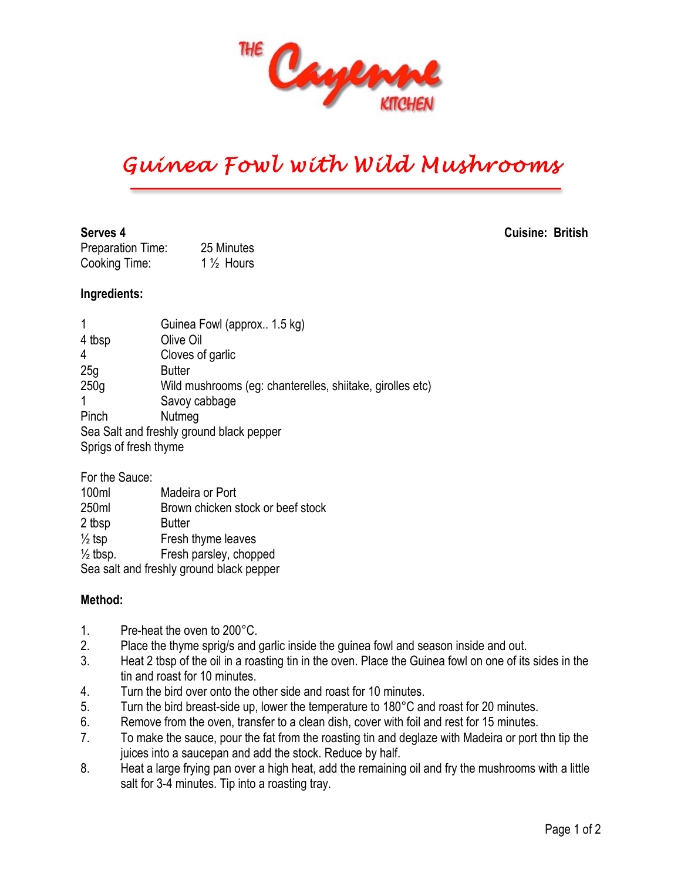

# *Guinea Fowl with Wild Mushrooms*

Preparation Time: 25 Minutes Cooking Time: 1 ½ Hours

#### **Ingredients:**

| 1                                                                 | Guinea Fowl (approx 1.5 kg)                               |
|-------------------------------------------------------------------|-----------------------------------------------------------|
| 4 tbsp                                                            | Olive Oil                                                 |
| 4                                                                 | Cloves of garlic                                          |
| 25g                                                               | <b>Butter</b>                                             |
| 250g                                                              | Wild mushrooms (eg: chanterelles, shiitake, girolles etc) |
| 1                                                                 | Savoy cabbage                                             |
| Pinch                                                             | Nutmeg                                                    |
| Sea Salt and freshly ground black pepper<br>Sprigs of fresh thyme |                                                           |
|                                                                   |                                                           |

### For the Sauce: 100ml Madeira or Port 250ml Brown chicken stock or beef stock 2 tbsp Butter  $\frac{1}{2}$  tsp **Fresh thyme leaves**  $\frac{1}{2}$  tbsp. Fresh parsley, chopped Sea salt and freshly ground black pepper

#### **Method:**

- 1. Pre-heat the oven to 200°C.
- 2. Place the thyme sprig/s and garlic inside the guinea fowl and season inside and out.
- 3. Heat 2 tbsp of the oil in a roasting tin in the oven. Place the Guinea fowl on one of its sides in the tin and roast for 10 minutes.
- 4. Turn the bird over onto the other side and roast for 10 minutes.
- 5. Turn the bird breast-side up, lower the temperature to 180°C and roast for 20 minutes.
- 6. Remove from the oven, transfer to a clean dish, cover with foil and rest for 15 minutes.
- 7. To make the sauce, pour the fat from the roasting tin and deglaze with Madeira or port thn tip the juices into a saucepan and add the stock. Reduce by half.
- 8. Heat a large frying pan over a high heat, add the remaining oil and fry the mushrooms with a little salt for 3-4 minutes. Tip into a roasting tray.

**Serves 4 Cuisine: British**